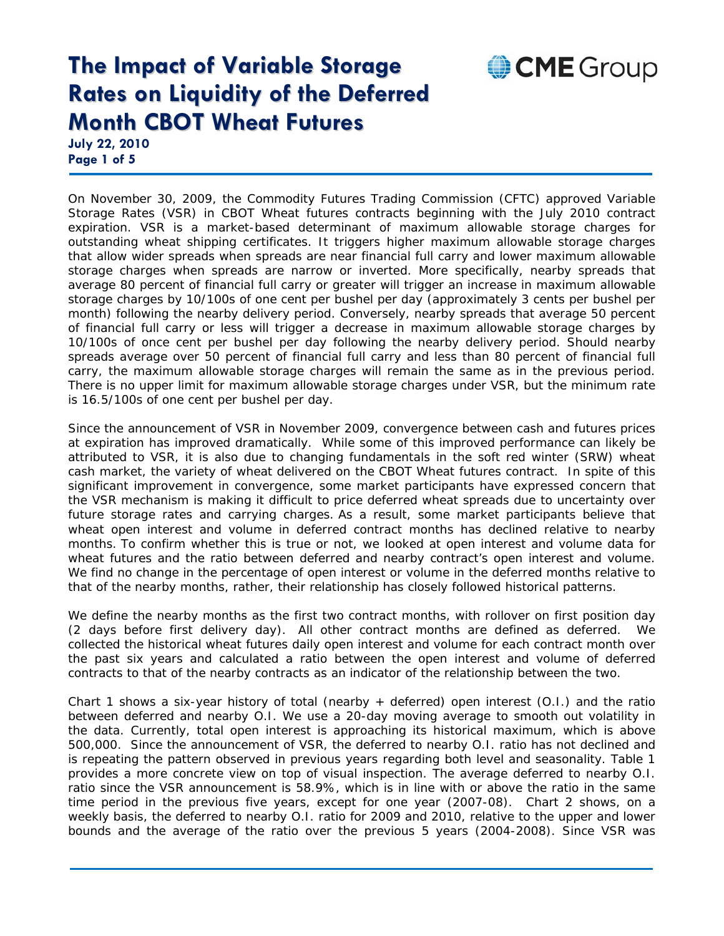**July 22, 2010 Page 1 of 5** 

On November 30, 2009, the Commodity Futures Trading Commission (CFTC) approved Variable Storage Rates (VSR) in CBOT Wheat futures contracts beginning with the July 2010 contract expiration. VSR is a market-based determinant of maximum allowable storage charges for outstanding wheat shipping certificates. It triggers higher maximum allowable storage charges that allow wider spreads when spreads are near financial full carry and lower maximum allowable storage charges when spreads are narrow or inverted. More specifically, nearby spreads that average 80 percent of financial full carry or greater will trigger an increase in maximum allowable storage charges by 10/100s of one cent per bushel per day (approximately 3 cents per bushel per month) following the nearby delivery period. Conversely, nearby spreads that average 50 percent of financial full carry or less will trigger a decrease in maximum allowable storage charges by 10/100s of once cent per bushel per day following the nearby delivery period. Should nearby spreads average over 50 percent of financial full carry and less than 80 percent of financial full carry, the maximum allowable storage charges will remain the same as in the previous period. There is no upper limit for maximum allowable storage charges under VSR, but the minimum rate is 16.5/100s of one cent per bushel per day.

CME Group

Since the announcement of VSR in November 2009, convergence between cash and futures prices at expiration has improved dramatically. While some of this improved performance can likely be attributed to VSR, it is also due to changing fundamentals in the soft red winter (SRW) wheat cash market, the variety of wheat delivered on the CBOT Wheat futures contract. In spite of this significant improvement in convergence, some market participants have expressed concern that the VSR mechanism is making it difficult to price deferred wheat spreads due to uncertainty over future storage rates and carrying charges. As a result, some market participants believe that wheat open interest and volume in deferred contract months has declined relative to nearby months. To confirm whether this is true or not, we looked at open interest and volume data for wheat futures and the ratio between deferred and nearby contract's open interest and volume. We find no change in the percentage of open interest or volume in the deferred months relative to that of the nearby months, rather, their relationship has closely followed historical patterns.

We define the nearby months as the first two contract months, with rollover on first position day (2 days before first delivery day). All other contract months are defined as deferred. We collected the historical wheat futures daily open interest and volume for each contract month over the past six years and calculated a ratio between the open interest and volume of deferred contracts to that of the nearby contracts as an indicator of the relationship between the two.

Chart 1 shows a six-year history of total (nearby + deferred) open interest (O.I.) and the ratio between deferred and nearby O.I. We use a 20-day moving average to smooth out volatility in the data. Currently, total open interest is approaching its historical maximum, which is above 500,000. Since the announcement of VSR, the deferred to nearby O.I. ratio has not declined and is repeating the pattern observed in previous years regarding both level and seasonality. Table 1 provides a more concrete view on top of visual inspection. The average deferred to nearby O.I. ratio since the VSR announcement is 58.9%, which is in line with or above the ratio in the same time period in the previous five years, except for one year (2007-08). Chart 2 shows, on a weekly basis, the deferred to nearby O.I. ratio for 2009 and 2010, relative to the upper and lower bounds and the average of the ratio over the previous 5 years (2004-2008). Since VSR was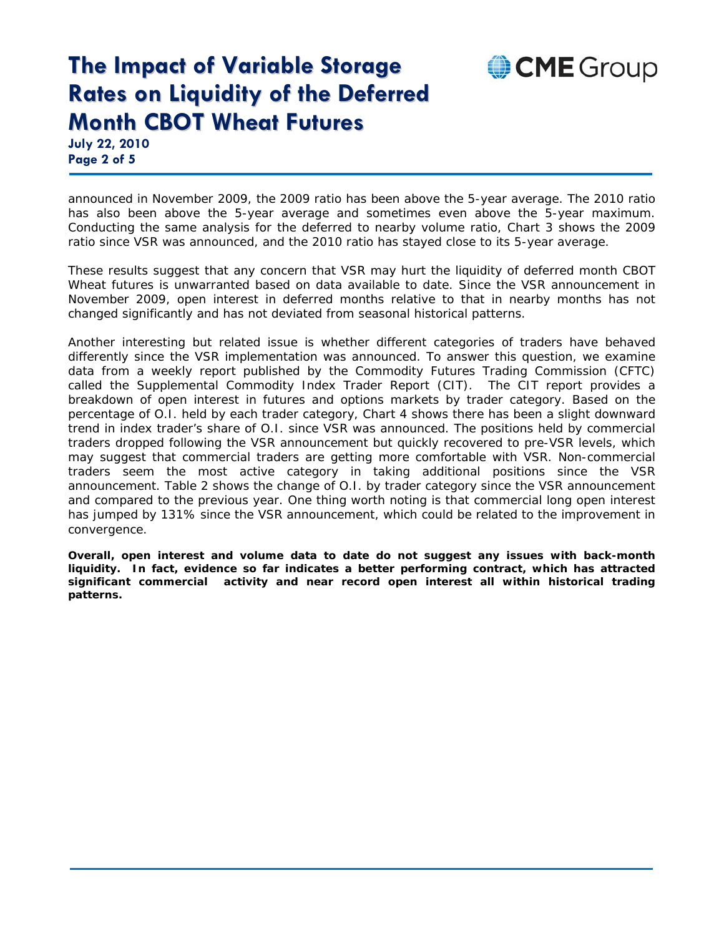# CME Group

#### **The Impact of Variable Storage Rates on Liquidity of the Deferred Month CBOT Wheat Futures**

**July 22, 2010 Page 2 of 5** 

announced in November 2009, the 2009 ratio has been above the 5-year average. The 2010 ratio has also been above the 5-year average and sometimes even above the 5-year maximum. Conducting the same analysis for the deferred to nearby volume ratio, Chart 3 shows the 2009 ratio since VSR was announced, and the 2010 ratio has stayed close to its 5-year average.

These results suggest that any concern that VSR may hurt the liquidity of deferred month CBOT Wheat futures is unwarranted based on data available to date. Since the VSR announcement in November 2009, open interest in deferred months relative to that in nearby months has not changed significantly and has not deviated from seasonal historical patterns.

Another interesting but related issue is whether different categories of traders have behaved differently since the VSR implementation was announced. To answer this question, we examine data from a weekly report published by the Commodity Futures Trading Commission (CFTC) called the Supplemental Commodity Index Trader Report (CIT). The CIT report provides a breakdown of open interest in futures and options markets by trader category. Based on the percentage of O.I. held by each trader category, Chart 4 shows there has been a slight downward trend in index trader's share of O.I. since VSR was announced. The positions held by commercial traders dropped following the VSR announcement but quickly recovered to pre-VSR levels, which may suggest that commercial traders are getting more comfortable with VSR. Non-commercial traders seem the most active category in taking additional positions since the VSR announcement. Table 2 shows the change of O.I. by trader category since the VSR announcement and compared to the previous year. One thing worth noting is that commercial long open interest has jumped by 131% since the VSR announcement, which could be related to the improvement in convergence.

**Overall, open interest and volume data to date do not suggest any issues with back-month liquidity. In fact, evidence so far indicates a better performing contract, which has attracted significant commercial activity and near record open interest all within historical trading patterns.**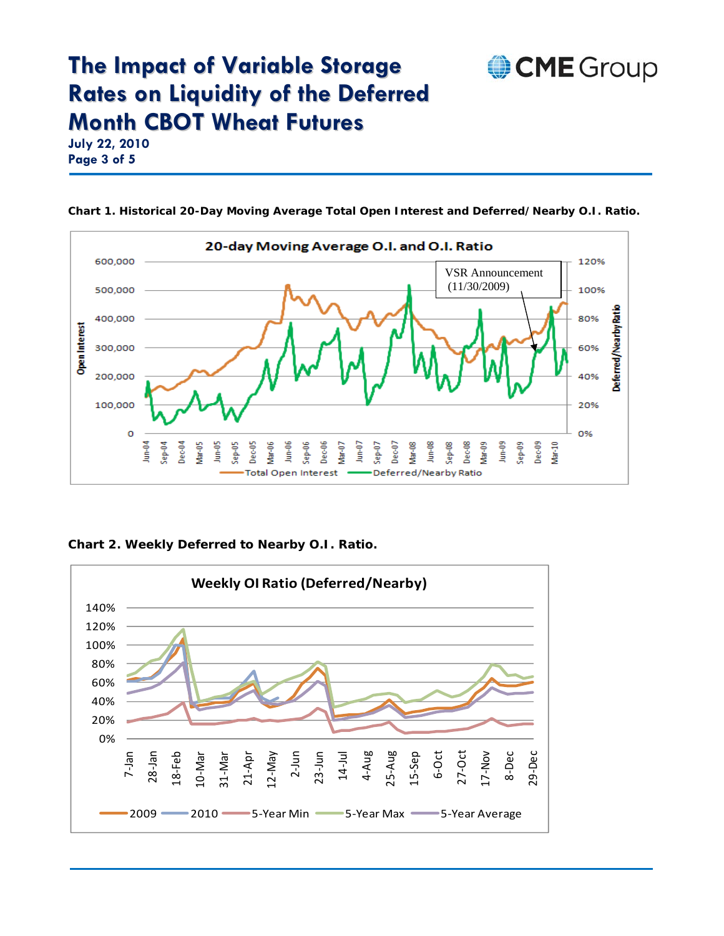**July 22, 2010 Page 3 of 5** 



**Chart 1. Historical 20-Day Moving Average Total Open Interest and Deferred/Nearby O.I. Ratio.** 

CME Group

**Chart 2. Weekly Deferred to Nearby O.I. Ratio.** 

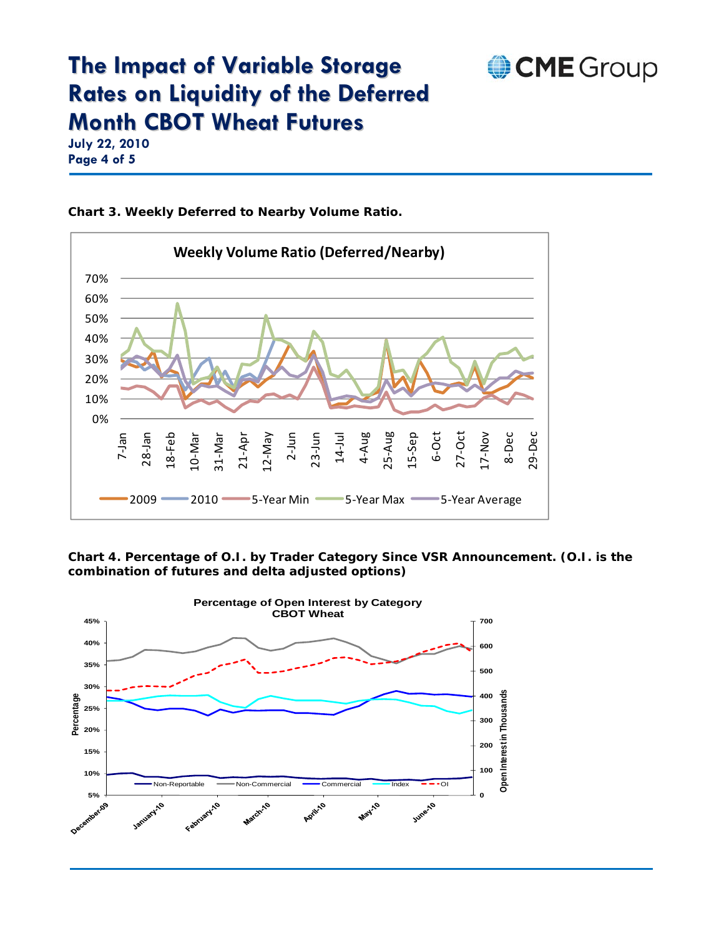

**July 22, 2010 Page 4 of 5** 



**Chart 3. Weekly Deferred to Nearby Volume Ratio.** 

**Chart 4. Percentage of O.I. by Trader Category Since VSR Announcement. (O.I. is the combination of futures and delta adjusted options)**